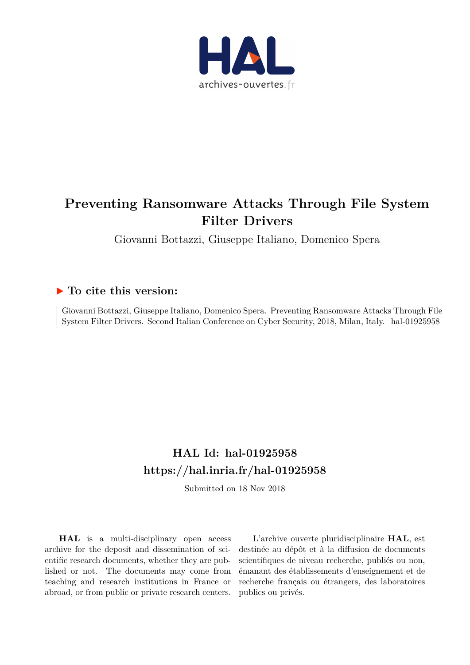

# **Preventing Ransomware Attacks Through File System Filter Drivers**

Giovanni Bottazzi, Giuseppe Italiano, Domenico Spera

# **To cite this version:**

Giovanni Bottazzi, Giuseppe Italiano, Domenico Spera. Preventing Ransomware Attacks Through File System Filter Drivers. Second Italian Conference on Cyber Security, 2018, Milan, Italy. hal-01925958

# **HAL Id: hal-01925958 <https://hal.inria.fr/hal-01925958>**

Submitted on 18 Nov 2018

**HAL** is a multi-disciplinary open access archive for the deposit and dissemination of scientific research documents, whether they are published or not. The documents may come from teaching and research institutions in France or abroad, or from public or private research centers.

L'archive ouverte pluridisciplinaire **HAL**, est destinée au dépôt et à la diffusion de documents scientifiques de niveau recherche, publiés ou non, émanant des établissements d'enseignement et de recherche français ou étrangers, des laboratoires publics ou privés.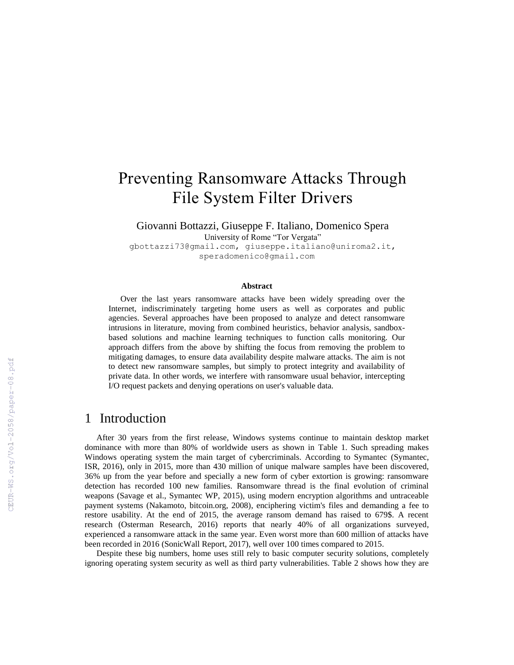# Preventing Ransomware Attacks Through File System Filter Drivers

Giovanni Bottazzi, Giuseppe F. Italiano, Domenico Spera University of Rome "Tor Vergata"

gbottazzi73@gmail.com, giuseppe.italiano@uniroma2.it, speradomenico@gmail.com

#### **Abstract**

Over the last years ransomware attacks have been widely spreading over the Internet, indiscriminately targeting home users as well as corporates and public agencies. Several approaches have been proposed to analyze and detect ransomware intrusions in literature, moving from combined heuristics, behavior analysis, sandboxbased solutions and machine learning techniques to function calls monitoring. Our approach differs from the above by shifting the focus from removing the problem to mitigating damages, to ensure data availability despite malware attacks. The aim is not to detect new ransomware samples, but simply to protect integrity and availability of private data. In other words, we interfere with ransomware usual behavior, intercepting I/O request packets and denying operations on user's valuable data.

### 1 Introduction

After 30 years from the first release, Windows systems continue to maintain desktop market dominance with more than 80% of worldwide users as shown in Table 1. Such spreading makes Windows operating system the main target of cybercriminals. According to Symantec (Symantec, ISR, 2016), only in 2015, more than 430 million of unique malware samples have been discovered, 36% up from the year before and specially a new form of cyber extortion is growing: ransomware detection has recorded 100 new families. Ransomware thread is the final evolution of criminal weapons (Savage et al., Symantec WP, 2015), using modern encryption algorithms and untraceable payment systems (Nakamoto, bitcoin.org, 2008), enciphering victim's files and demanding a fee to restore usability. At the end of 2015, the average ransom demand has raised to 679\$. A recent research (Osterman Research, 2016) reports that nearly 40% of all organizations surveyed, experienced a ransomware attack in the same year. Even worst more than 600 million of attacks have been recorded in 2016 (SonicWall Report, 2017), well over 100 times compared to 2015.

Despite these big numbers, home uses still rely to basic computer security solutions, completely ignoring operating system security as well as third party vulnerabilities. Table 2 shows how they are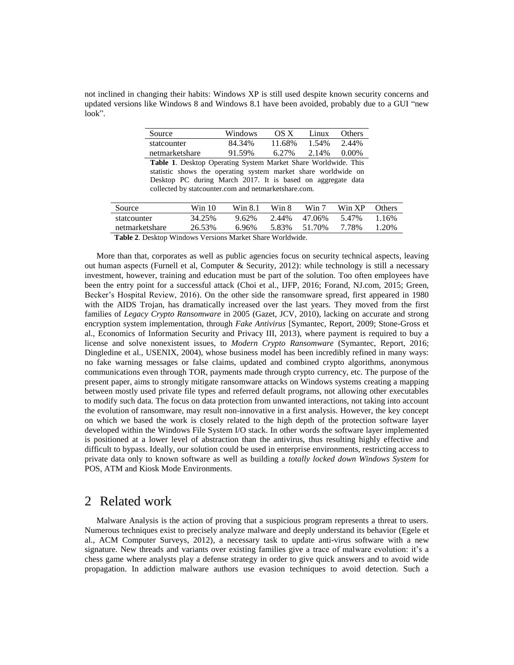not inclined in changing their habits: Windows XP is still used despite known security concerns and updated versions like Windows 8 and Windows 8.1 have been avoided, probably due to a GUI "new look".

| Source         | Windows      | OS X                                   | Linux | <b>Others</b>  |
|----------------|--------------|----------------------------------------|-------|----------------|
| statcounter    | 84.34%       | 11.68%                                 | 1.54% | 2.44%          |
| netmarketshare | 91.59%       | 6.27%                                  | 2.14% | $0.00\%$       |
| $-11 - 4 - 1$  | $\mathbf{a}$ | $\mathbf{M}$ $\mathbf{I}$ $\mathbf{M}$ |       | 117 11 11 11 1 |

**Table 1**. Desktop Operating System Market Share Worldwide. This statistic shows the operating system market share worldwide on Desktop PC during March 2017. It is based on aggregate data collected by statcounter.com and netmarketshare.com.

| Source         | Win 10 | Win 8.1 | Win 8 | Win 7  | Win XP | <b>Others</b> |
|----------------|--------|---------|-------|--------|--------|---------------|
| statcounter    | 34.25% | 9.62%   | 2.44% | 47.06% | 547%   | 1.16%         |
| netmarketshare | 26.53% | 6.96%   | 5.83% | 51.70% | 7.78%  | 1.20%         |

**Table 2**. Desktop Windows Versions Market Share Worldwide.

More than that, corporates as well as public agencies focus on security technical aspects, leaving out human aspects (Furnell et al, Computer & Security, 2012): while technology is still a necessary investment, however, training and education must be part of the solution. Too often employees have been the entry point for a successful attack (Choi et al., IJFP, 2016; Forand, NJ.com, 2015; Green, Becker's Hospital Review, 2016). On the other side the ransomware spread, first appeared in 1980 with the AIDS Trojan, has dramatically increased over the last years. They moved from the first families of *Legacy Crypto Ransomware* in 2005 (Gazet, JCV, 2010), lacking on accurate and strong encryption system implementation, through *Fake Antivirus* [Symantec, Report, 2009; Stone-Gross et al., Economics of Information Security and Privacy III, 2013), where payment is required to buy a license and solve nonexistent issues, to *Modern Crypto Ransomware* (Symantec, Report, 2016; Dingledine et al., USENIX, 2004), whose business model has been incredibly refined in many ways: no fake warning messages or false claims, updated and combined crypto algorithms, anonymous communications even through TOR, payments made through crypto currency, etc. The purpose of the present paper, aims to strongly mitigate ransomware attacks on Windows systems creating a mapping between mostly used private file types and referred default programs, not allowing other executables to modify such data. The focus on data protection from unwanted interactions, not taking into account the evolution of ransomware, may result non-innovative in a first analysis. However, the key concept on which we based the work is closely related to the high depth of the protection software layer developed within the Windows File System I/O stack. In other words the software layer implemented is positioned at a lower level of abstraction than the antivirus, thus resulting highly effective and difficult to bypass. Ideally, our solution could be used in enterprise environments, restricting access to private data only to known software as well as building a *totally locked down Windows System* for POS, ATM and Kiosk Mode Environments.

### 2 Related work

Malware Analysis is the action of proving that a suspicious program represents a threat to users. Numerous techniques exist to precisely analyze malware and deeply understand its behavior (Egele et al., ACM Computer Surveys, 2012), a necessary task to update anti-virus software with a new signature. New threads and variants over existing families give a trace of malware evolution: it's a chess game where analysts play a defense strategy in order to give quick answers and to avoid wide propagation. In addiction malware authors use evasion techniques to avoid detection. Such a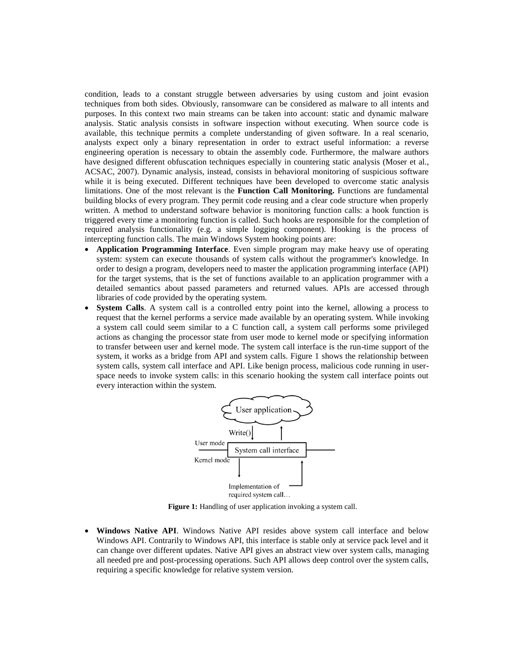condition, leads to a constant struggle between adversaries by using custom and joint evasion techniques from both sides. Obviously, ransomware can be considered as malware to all intents and purposes. In this context two main streams can be taken into account: static and dynamic malware analysis. Static analysis consists in software inspection without executing. When source code is available, this technique permits a complete understanding of given software. In a real scenario, analysts expect only a binary representation in order to extract useful information: a reverse engineering operation is necessary to obtain the assembly code. Furthermore, the malware authors have designed different obfuscation techniques especially in countering static analysis (Moser et al., ACSAC, 2007). Dynamic analysis, instead, consists in behavioral monitoring of suspicious software while it is being executed. Different techniques have been developed to overcome static analysis limitations. One of the most relevant is the **Function Call Monitoring.** Functions are fundamental building blocks of every program. They permit code reusing and a clear code structure when properly written. A method to understand software behavior is monitoring function calls: a hook function is triggered every time a monitoring function is called. Such hooks are responsible for the completion of required analysis functionality (e.g. a simple logging component). Hooking is the process of intercepting function calls. The main Windows System hooking points are:

- **Application Programming Interface**. Even simple program may make heavy use of operating system: system can execute thousands of system calls without the programmer's knowledge. In order to design a program, developers need to master the application programming interface (API) for the target systems, that is the set of functions available to an application programmer with a detailed semantics about passed parameters and returned values. APIs are accessed through libraries of code provided by the operating system.
- **System Calls**. A system call is a controlled entry point into the kernel, allowing a process to request that the kernel performs a service made available by an operating system. While invoking a system call could seem similar to a C function call, a system call performs some privileged actions as changing the processor state from user mode to kernel mode or specifying information to transfer between user and kernel mode. The system call interface is the run-time support of the system, it works as a bridge from API and system calls. Figure 1 shows the relationship between system calls, system call interface and API. Like benign process, malicious code running in userspace needs to invoke system calls: in this scenario hooking the system call interface points out every interaction within the system.



**Figure 1:** Handling of user application invoking a system call.

 **Windows Native API**. Windows Native API resides above system call interface and below Windows API. Contrarily to Windows API, this interface is stable only at service pack level and it can change over different updates. Native API gives an abstract view over system calls, managing all needed pre and post-processing operations. Such API allows deep control over the system calls, requiring a specific knowledge for relative system version.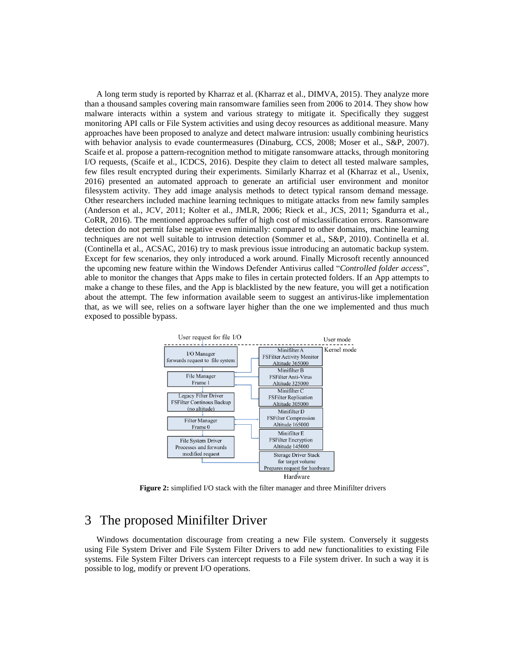A long term study is reported by Kharraz et al. (Kharraz et al., DIMVA, 2015). They analyze more than a thousand samples covering main ransomware families seen from 2006 to 2014. They show how malware interacts within a system and various strategy to mitigate it. Specifically they suggest monitoring API calls or File System activities and using decoy resources as additional measure. Many approaches have been proposed to analyze and detect malware intrusion: usually combining heuristics with behavior analysis to evade countermeasures (Dinaburg, CCS, 2008; Moser et al., S&P, 2007). Scaife et al. propose a pattern-recognition method to mitigate ransomware attacks, through monitoring I/O requests, (Scaife et al., ICDCS, 2016). Despite they claim to detect all tested malware samples, few files result encrypted during their experiments. Similarly Kharraz et al (Kharraz et al., Usenix, 2016) presented an automated approach to generate an artificial user environment and monitor filesystem activity. They add image analysis methods to detect typical ransom demand message. Other researchers included machine learning techniques to mitigate attacks from new family samples (Anderson et al., JCV, 2011; Kolter et al., JMLR, 2006; Rieck et al., JCS, 2011; Sgandurra et al., CoRR, 2016). The mentioned approaches suffer of high cost of misclassification errors. Ransomware detection do not permit false negative even minimally: compared to other domains, machine learning techniques are not well suitable to intrusion detection (Sommer et al., S&P, 2010). Continella et al. (Continella et al., ACSAC, 2016) try to mask previous issue introducing an automatic backup system. Except for few scenarios, they only introduced a work around. Finally Microsoft recently announced the upcoming new feature within the Windows Defender Antivirus called "*Controlled folder access*", able to monitor the changes that Apps make to files in certain protected folders. If an App attempts to make a change to these files, and the App is blacklisted by the new feature, you will get a notification about the attempt. The few information available seem to suggest an antivirus-like implementation that, as we will see, relies on a software layer higher than the one we implemented and thus much exposed to possible bypass.



**Figure 2:** simplified I/O stack with the filter manager and three Minifilter drivers

## 3 The proposed Minifilter Driver

Windows documentation discourage from creating a new File system. Conversely it suggests using File System Driver and File System Filter Drivers to add new functionalities to existing File systems. File System Filter Drivers can intercept requests to a File system driver. In such a way it is possible to log, modify or prevent I/O operations.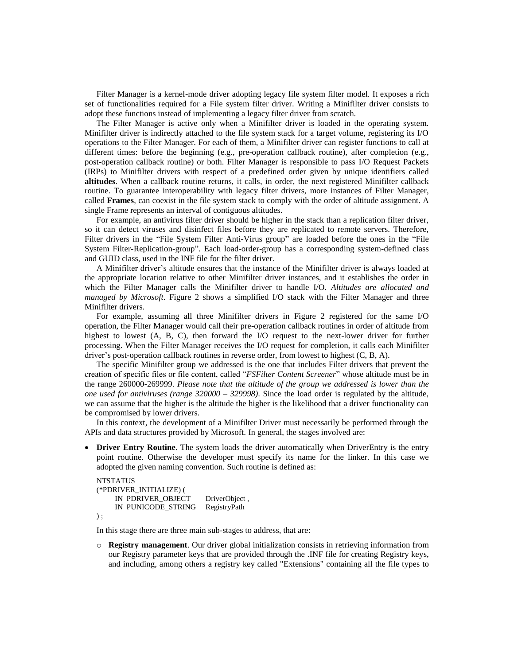Filter Manager is a kernel-mode driver adopting legacy file system filter model. It exposes a rich set of functionalities required for a File system filter driver. Writing a Minifilter driver consists to adopt these functions instead of implementing a legacy filter driver from scratch.

The Filter Manager is active only when a Minifilter driver is loaded in the operating system. Minifilter driver is indirectly attached to the file system stack for a target volume, registering its I/O operations to the Filter Manager. For each of them, a Minifilter driver can register functions to call at different times: before the beginning (e.g., pre-operation callback routine), after completion (e.g., post-operation callback routine) or both. Filter Manager is responsible to pass I/O Request Packets (IRPs) to Minifilter drivers with respect of a predefined order given by unique identifiers called **altitudes**. When a callback routine returns, it calls, in order, the next registered Minifilter callback routine. To guarantee interoperability with legacy filter drivers, more instances of Filter Manager, called **Frames**, can coexist in the file system stack to comply with the order of altitude assignment. A single Frame represents an interval of contiguous altitudes.

For example, an antivirus filter driver should be higher in the stack than a replication filter driver, so it can detect viruses and disinfect files before they are replicated to remote servers. Therefore, Filter drivers in the "File System Filter Anti-Virus group" are loaded before the ones in the "File System Filter-Replication-group". Each load-order-group has a corresponding system-defined class and GUID class, used in the INF file for the filter driver.

A Minifilter driver's altitude ensures that the instance of the Minifilter driver is always loaded at the appropriate location relative to other Minifilter driver instances, and it establishes the order in which the Filter Manager calls the Minifilter driver to handle I/O. *Altitudes are allocated and managed by Microsoft*. Figure 2 shows a simplified I/O stack with the Filter Manager and three Minifilter drivers.

For example, assuming all three Minifilter drivers in Figure 2 registered for the same I/O operation, the Filter Manager would call their pre-operation callback routines in order of altitude from highest to lowest (A, B, C), then forward the I/O request to the next-lower driver for further processing. When the Filter Manager receives the I/O request for completion, it calls each Minifilter driver's post-operation callback routines in reverse order, from lowest to highest (C, B, A).

The specific Minifilter group we addressed is the one that includes Filter drivers that prevent the creation of specific files or file content, called "*FSFilter Content Screener*" whose altitude must be in the range 260000-269999. *Please note that the altitude of the group we addressed is lower than the one used for antiviruses (range 320000 – 329998)*. Since the load order is regulated by the altitude, we can assume that the higher is the altitude the higher is the likelihood that a driver functionality can be compromised by lower drivers.

In this context, the development of a Minifilter Driver must necessarily be performed through the APIs and data structures provided by Microsoft. In general, the stages involved are:

 **Driver Entry Routine**. The system loads the driver automatically when DriverEntry is the entry point routine. Otherwise the developer must specify its name for the linker. In this case we adopted the given naming convention. Such routine is defined as:

```
NTSTATUS
(*PDRIVER_INITIALIZE) (
    IN PDRIVER_OBJECT DriverObject ,
    IN PUNICODE_STRING RegistryPath
) ;
```
In this stage there are three main sub-stages to address, that are:

o **Registry management**. Our driver global initialization consists in retrieving information from our Registry parameter keys that are provided through the .INF file for creating Registry keys, and including, among others a registry key called "Extensions" containing all the file types to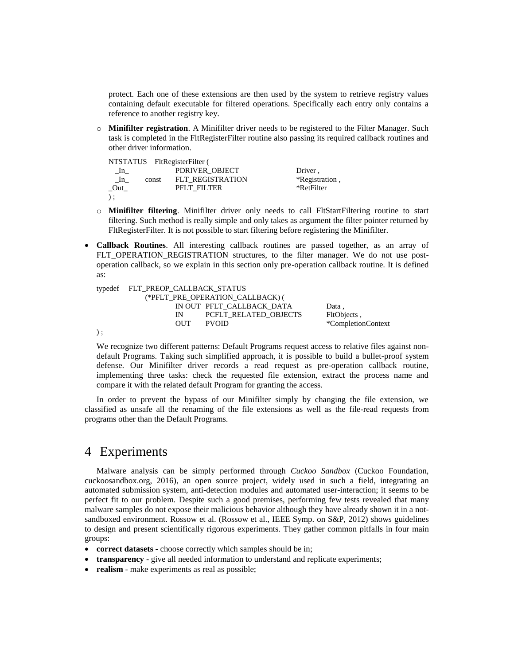protect. Each one of these extensions are then used by the system to retrieve registry values containing default executable for filtered operations. Specifically each entry only contains a reference to another registry key.

o **Minifilter registration**. A Minifilter driver needs to be registered to the Filter Manager. Such task is completed in the FltRegisterFilter routine also passing its required callback routines and other driver information.

|              |       | NTSTATUS FltRegisterFilter ( |                |
|--------------|-------|------------------------------|----------------|
| $\lfloor$ In |       | PDRIVER OBJECT               | Driver,        |
| In           | const | <b>FLT REGISTRATION</b>      | *Registration, |
| Out          |       | <b>PFLT FILTER</b>           | *RetFilter     |
| $)$ ;        |       |                              |                |

- o **Minifilter filtering**. Minifilter driver only needs to call FltStartFiltering routine to start filtering. Such method is really simple and only takes as argument the filter pointer returned by FltRegisterFilter. It is not possible to start filtering before registering the Minifilter.
- **Callback Routines**. All interesting callback routines are passed together, as an array of FLT\_OPERATION\_REGISTRATION structures, to the filter manager. We do not use postoperation callback, so we explain in this section only pre-operation callback routine. It is defined as:

|       | typedef FLT PREOP CALLBACK STATUS |                                  |                    |
|-------|-----------------------------------|----------------------------------|--------------------|
|       |                                   | (*PFLT PRE OPERATION CALLBACK) ( |                    |
|       |                                   | IN OUT PFLT CALLBACK DATA        | Data.              |
|       | $\mathbb{N}^-$                    | <b>PCFLT RELATED OBJECTS</b>     | FltObjects,        |
|       | <b>OUT</b>                        | <b>PVOID</b>                     | *CompletionContext |
| $)$ : |                                   |                                  |                    |

We recognize two different patterns: Default Programs request access to relative files against nondefault Programs. Taking such simplified approach, it is possible to build a bullet-proof system defense. Our Minifilter driver records a read request as pre-operation callback routine, implementing three tasks: check the requested file extension, extract the process name and compare it with the related default Program for granting the access.

In order to prevent the bypass of our Minifilter simply by changing the file extension, we classified as unsafe all the renaming of the file extensions as well as the file-read requests from programs other than the Default Programs.

### 4 Experiments

Malware analysis can be simply performed through *Cuckoo Sandbox* (Cuckoo Foundation, cuckoosandbox.org, 2016), an open source project, widely used in such a field, integrating an automated submission system, anti-detection modules and automated user-interaction; it seems to be perfect fit to our problem. Despite such a good premises, performing few tests revealed that many malware samples do not expose their malicious behavior although they have already shown it in a notsandboxed environment. Rossow et al. (Rossow et al., IEEE Symp. on S&P, 2012) shows guidelines to design and present scientifically rigorous experiments. They gather common pitfalls in four main groups:

- **correct datasets** choose correctly which samples should be in;
- **transparency** give all needed information to understand and replicate experiments;
- **realism** make experiments as real as possible;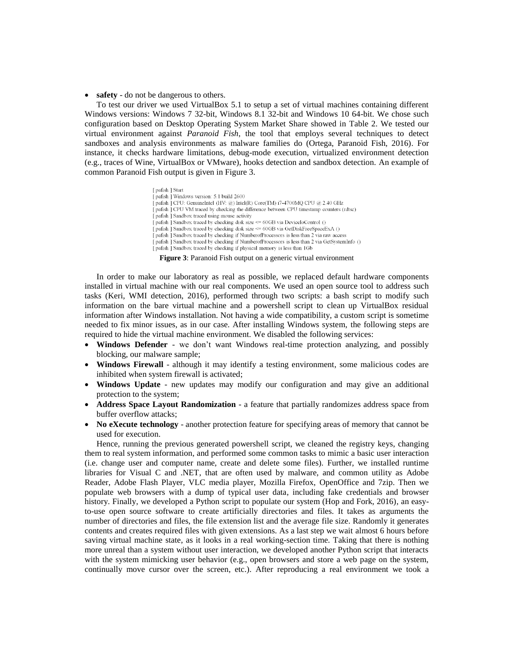• **safety** - do not be dangerous to others.

To test our driver we used VirtualBox 5.1 to setup a set of virtual machines containing different Windows versions: Windows 7 32-bit, Windows 8.1 32-bit and Windows 10 64-bit. We chose such configuration based on Desktop Operating System Market Share showed in Table 2. We tested our virtual environment against *Paranoid Fish*, the tool that employs several techniques to detect sandboxes and analysis environments as malware families do (Ortega, Paranoid Fish, 2016). For instance, it checks hardware limitations, debug-mode execution, virtualized environment detection (e.g., traces of Wine, VirtualBox or VMware), hooks detection and sandbox detection. An example of common Paranoid Fish output is given in Figure 3.

> [pafish ] Start pafish | Windows version: 5.1 build 2600 [pafish ] CPU: GenuineIntel (HV: @) Intel(R) Core(TM) i7-4700MQ CPU @ 2.40 GHz pafish ] CPU VM traced by checking the difference between CPU timestamp counters (rdtsc) pafish | Sandbox traced using mouse activity pafish ] Sandbox traced by checking disk size <= 60GB via DeviceIoControl () [pafish] Sandbox traced by checking disk size <= 60GB via GetDiskFreeSpaceExA () pafish ] Sandbox traced by checking if NumberofProcessors is less than 2 via raw access [pafish] Sandbox traced by checking if NumberofProcessors is less than 2 via GetSystemInfo () pafish ] Sandbox traced by checking if physical memory is less than 1Gb

**Figure 3**: Paranoid Fish output on a generic virtual environment

In order to make our laboratory as real as possible, we replaced default hardware components installed in virtual machine with our real components. We used an open source tool to address such tasks (Keri, WMI detection, 2016), performed through two scripts: a bash script to modify such information on the bare virtual machine and a powershell script to clean up VirtualBox residual information after Windows installation. Not having a wide compatibility, a custom script is sometime needed to fix minor issues, as in our case. After installing Windows system, the following steps are required to hide the virtual machine environment. We disabled the following services:

- **Windows Defender** we don't want Windows real-time protection analyzing, and possibly blocking, our malware sample;
- **Windows Firewall** although it may identify a testing environment, some malicious codes are inhibited when system firewall is activated;
- **Windows Update** new updates may modify our configuration and may give an additional protection to the system;
- **Address Space Layout Randomization** a feature that partially randomizes address space from buffer overflow attacks;
- **No eXecute technology** another protection feature for specifying areas of memory that cannot be used for execution.

Hence, running the previous generated powershell script, we cleaned the registry keys, changing them to real system information, and performed some common tasks to mimic a basic user interaction (i.e. change user and computer name, create and delete some files). Further, we installed runtime libraries for Visual C and .NET, that are often used by malware, and common utility as Adobe Reader, Adobe Flash Player, VLC media player, Mozilla Firefox, OpenOffice and 7zip. Then we populate web browsers with a dump of typical user data, including fake credentials and browser history. Finally, we developed a Python script to populate our system (Hop and Fork, 2016), an easyto-use open source software to create artificially directories and files. It takes as arguments the number of directories and files, the file extension list and the average file size. Randomly it generates contents and creates required files with given extensions. As a last step we wait almost 6 hours before saving virtual machine state, as it looks in a real working-section time. Taking that there is nothing more unreal than a system without user interaction, we developed another Python script that interacts with the system mimicking user behavior (e.g., open browsers and store a web page on the system, continually move cursor over the screen, etc.). After reproducing a real environment we took a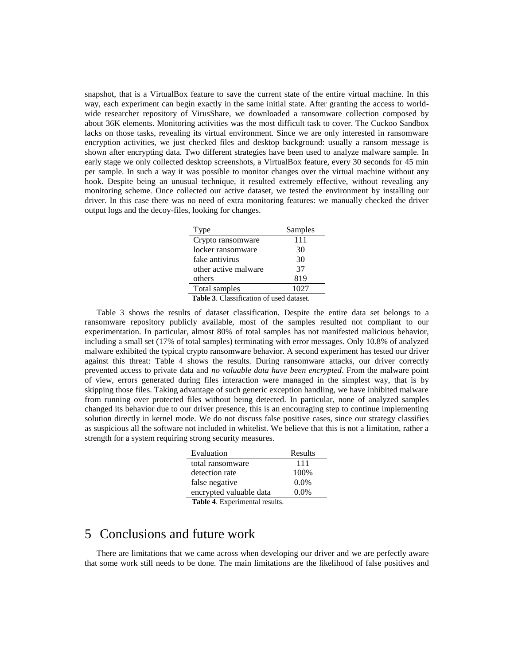snapshot, that is a VirtualBox feature to save the current state of the entire virtual machine. In this way, each experiment can begin exactly in the same initial state. After granting the access to worldwide researcher repository of VirusShare, we downloaded a ransomware collection composed by about 36K elements. Monitoring activities was the most difficult task to cover. The Cuckoo Sandbox lacks on those tasks, revealing its virtual environment. Since we are only interested in ransomware encryption activities, we just checked files and desktop background: usually a ransom message is shown after encrypting data. Two different strategies have been used to analyze malware sample. In early stage we only collected desktop screenshots, a VirtualBox feature, every 30 seconds for 45 min per sample. In such a way it was possible to monitor changes over the virtual machine without any hook. Despite being an unusual technique, it resulted extremely effective, without revealing any monitoring scheme. Once collected our active dataset, we tested the environment by installing our driver. In this case there was no need of extra monitoring features: we manually checked the driver output logs and the decoy-files, looking for changes.

| Type                                | Samples                          |
|-------------------------------------|----------------------------------|
| Crypto ransomware                   | 111                              |
| locker ransomware                   | 30                               |
| fake antivirus                      | 30                               |
| other active malware                | 37                               |
| others                              | 819                              |
| Total samples                       | 1027                             |
| c<br>$\mathbf{m}$ is a $\mathbf{m}$ | п<br>$\sim$ $\sim$ $\sim$ $\sim$ |

**Table 3**. Classification of used dataset.

Table 3 shows the results of dataset classification. Despite the entire data set belongs to a ransomware repository publicly available, most of the samples resulted not compliant to our experimentation. In particular, almost 80% of total samples has not manifested malicious behavior, including a small set (17% of total samples) terminating with error messages. Only 10.8% of analyzed malware exhibited the typical crypto ransomware behavior. A second experiment has tested our driver against this threat: Table 4 shows the results. During ransomware attacks, our driver correctly prevented access to private data and *no valuable data have been encrypted*. From the malware point of view, errors generated during files interaction were managed in the simplest way, that is by skipping those files. Taking advantage of such generic exception handling, we have inhibited malware from running over protected files without being detected. In particular, none of analyzed samples changed its behavior due to our driver presence, this is an encouraging step to continue implementing solution directly in kernel mode. We do not discuss false positive cases, since our strategy classifies as suspicious all the software not included in whitelist. We believe that this is not a limitation, rather a strength for a system requiring strong security measures.

| Evaluation                   | Results |
|------------------------------|---------|
| total ransomware             | 111     |
| detection rate               | 100\%   |
| false negative               | $0.0\%$ |
| encrypted valuable data      | $0.0\%$ |
| Toble 4 Experimental recults |         |

#### **Table 4**. Experimental results.

## 5 Conclusions and future work

There are limitations that we came across when developing our driver and we are perfectly aware that some work still needs to be done. The main limitations are the likelihood of false positives and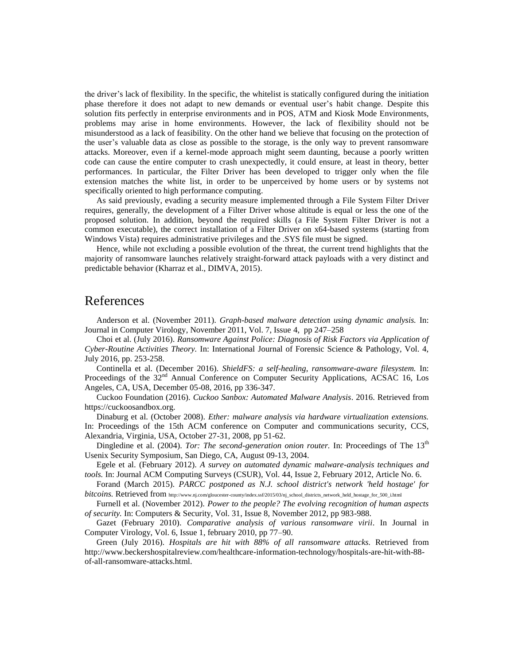the driver's lack of flexibility. In the specific, the whitelist is statically configured during the initiation phase therefore it does not adapt to new demands or eventual user's habit change. Despite this solution fits perfectly in enterprise environments and in POS, ATM and Kiosk Mode Environments, problems may arise in home environments. However, the lack of flexibility should not be misunderstood as a lack of feasibility. On the other hand we believe that focusing on the protection of the user's valuable data as close as possible to the storage, is the only way to prevent ransomware attacks. Moreover, even if a kernel-mode approach might seem daunting, because a poorly written code can cause the entire computer to crash unexpectedly, it could ensure, at least in theory, better performances. In particular, the Filter Driver has been developed to trigger only when the file extension matches the white list, in order to be unperceived by home users or by systems not specifically oriented to high performance computing.

As said previously, evading a security measure implemented through a File System Filter Driver requires, generally, the development of a Filter Driver whose altitude is equal or less the one of the proposed solution. In addition, beyond the required skills (a File System Filter Driver is not a common executable), the correct installation of a Filter Driver on x64-based systems (starting from Windows Vista) requires administrative privileges and the .SYS file must be signed.

Hence, while not excluding a possible evolution of the threat, the current trend highlights that the majority of ransomware launches relatively straight-forward attack payloads with a very distinct and predictable behavior (Kharraz et al., DIMVA, 2015).

## References

Anderson et al. (November 2011). *Graph-based malware detection using dynamic analysis.* In: Journal in Computer Virology, November 2011, Vol. 7, Issue 4, pp 247–258

Choi et al. (July 2016). *Ransomware Against Police: Diagnosis of Risk Factors via Application of Cyber-Routine Activities Theory.* In: International Journal of Forensic Science & Pathology, Vol. 4, July 2016, pp. 253-258.

Continella et al. (December 2016). *ShieldFS: a self-healing, ransomware-aware filesystem.* In: Proceedings of the 32<sup>nd</sup> Annual Conference on Computer Security Applications, ACSAC 16, Los Angeles, CA, USA, December 05-08, 2016, pp 336-347.

Cuckoo Foundation (2016). *Cuckoo Sanbox: Automated Malware Analysis*. 2016. Retrieved from https://cuckoosandbox.org.

Dinaburg et al. (October 2008). *Ether: malware analysis via hardware virtualization extensions.* In: Proceedings of the 15th ACM conference on Computer and communications security, CCS, Alexandria, Virginia, USA, October 27-31, 2008, pp 51-62.

Dingledine et al. (2004). *Tor: The second-generation onion router*. In: Proceedings of The 13<sup>th</sup> Usenix Security Symposium, San Diego, CA, August 09-13, 2004.

Egele et al. (February 2012). *A survey on automated dynamic malware-analysis techniques and tools.* In: Journal ACM Computing Surveys (CSUR), Vol. 44, Issue 2, February 2012, Article No. 6.

Forand (March 2015). *PARCC postponed as N.J. school district's network 'held hostage' for bitcoins.* Retrieved from http://www.nj.com/gloucester-county/index.ssf/2015/03/nj\_school\_districts\_network\_held\_hostage\_for\_500\_i.html

Furnell et al. (November 2012). *Power to the people? The evolving recognition of human aspects of security.* In: Computers & Security, Vol. 31, Issue 8, November 2012, pp 983-988.

Gazet (February 2010). *Comparative analysis of various ransomware virii*. In Journal in Computer Virology, Vol. 6, Issue 1, february 2010, pp 77–90.

Green (July 2016). *Hospitals are hit with 88% of all ransomware attacks.* Retrieved from http://www.beckershospitalreview.com/healthcare-information-technology/hospitals-are-hit-with-88 of-all-ransomware-attacks.html.